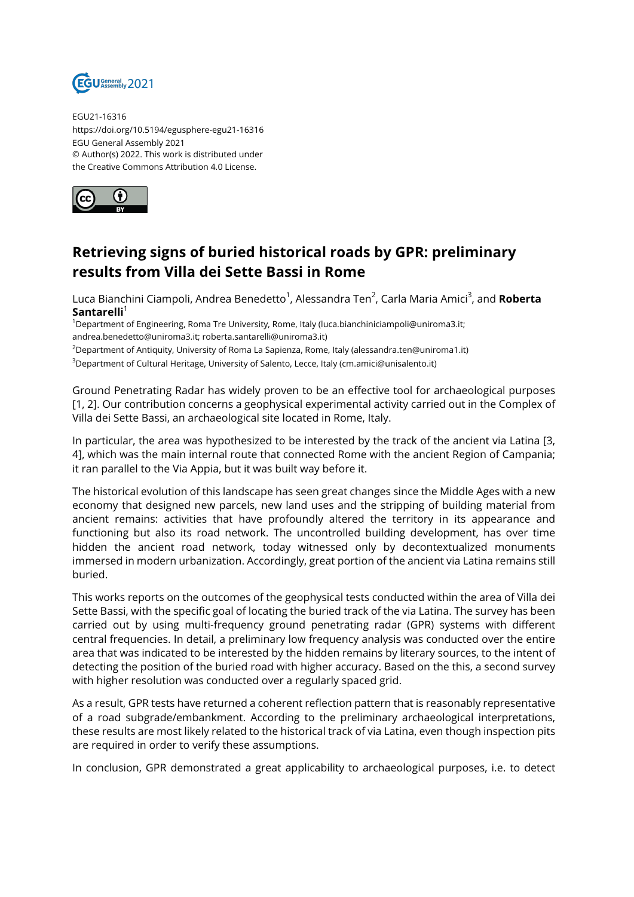

EGU21-16316 https://doi.org/10.5194/egusphere-egu21-16316 EGU General Assembly 2021 © Author(s) 2022. This work is distributed under the Creative Commons Attribution 4.0 License.



## **Retrieving signs of buried historical roads by GPR: preliminary results from Villa dei Sette Bassi in Rome**

Luca Bianchini Ciampoli, Andrea Benedetto<sup>1</sup>, Alessandra Ten<sup>2</sup>, Carla Maria Amici<sup>3</sup>, and **Roberta Santarelli**<sup>1</sup>

<sup>1</sup>Department of Engineering, Roma Tre University, Rome, Italy (luca.bianchiniciampoli@uniroma3.it; andrea.benedetto@uniroma3.it; roberta.santarelli@uniroma3.it)

<sup>2</sup>Department of Antiquity, University of Roma La Sapienza, Rome, Italy (alessandra.ten@uniroma1.it)

<sup>3</sup>Department of Cultural Heritage, University of Salento, Lecce, Italy (cm.amici@unisalento.it)

Ground Penetrating Radar has widely proven to be an effective tool for archaeological purposes [1, 2]. Our contribution concerns a geophysical experimental activity carried out in the Complex of Villa dei Sette Bassi, an archaeological site located in Rome, Italy.

In particular, the area was hypothesized to be interested by the track of the ancient via Latina [3, 4], which was the main internal route that connected Rome with the ancient Region of Campania; it ran parallel to the Via Appia, but it was built way before it.

The historical evolution of this landscape has seen great changes since the Middle Ages with a new economy that designed new parcels, new land uses and the stripping of building material from ancient remains: activities that have profoundly altered the territory in its appearance and functioning but also its road network. The uncontrolled building development, has over time hidden the ancient road network, today witnessed only by decontextualized monuments immersed in modern urbanization. Accordingly, great portion of the ancient via Latina remains still buried.

This works reports on the outcomes of the geophysical tests conducted within the area of Villa dei Sette Bassi, with the specific goal of locating the buried track of the via Latina. The survey has been carried out by using multi-frequency ground penetrating radar (GPR) systems with different central frequencies. In detail, a preliminary low frequency analysis was conducted over the entire area that was indicated to be interested by the hidden remains by literary sources, to the intent of detecting the position of the buried road with higher accuracy. Based on the this, a second survey with higher resolution was conducted over a regularly spaced grid.

As a result, GPR tests have returned a coherent reflection pattern that is reasonably representative of a road subgrade/embankment. According to the preliminary archaeological interpretations, these results are most likely related to the historical track of via Latina, even though inspection pits are required in order to verify these assumptions.

In conclusion, GPR demonstrated a great applicability to archaeological purposes, i.e. to detect